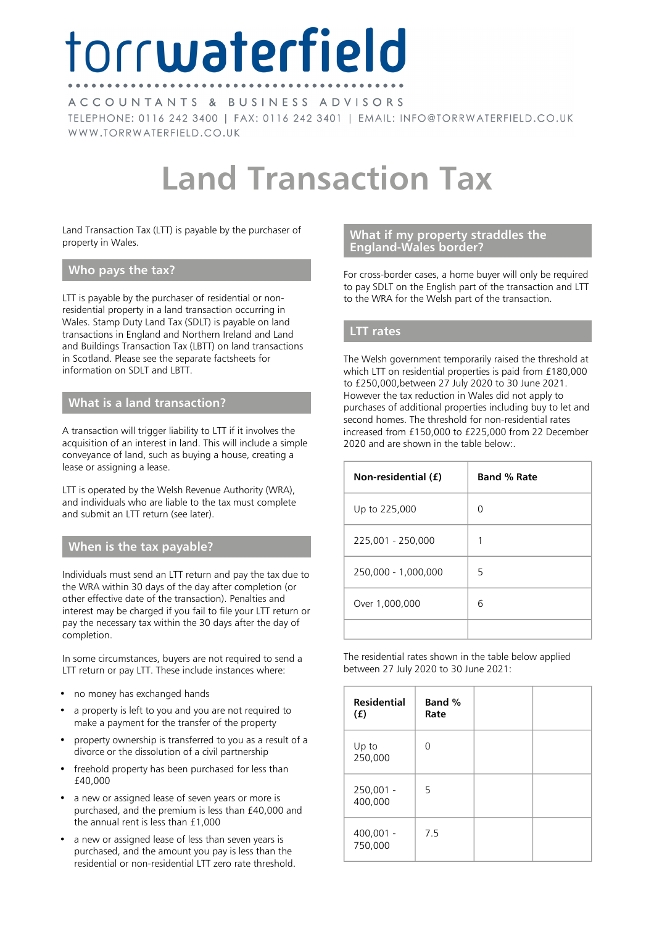# torrwaterfield

ACCOUNTANTS & BUSINESS ADVISORS TELEPHONE: 0116 242 3400 | FAX: 0116 242 3401 | EMAIL: INFO@TORRWATERFIELD.CO.UK WWW.TORRWATERFIELD.CO.UK

## **Land Transaction Tax**

Land Transaction Tax (LTT) is payable by the purchaser of property in Wales.

#### **Who pays the tax?**

LTT is payable by the purchaser of residential or nonresidential property in a land transaction occurring in Wales. Stamp Duty Land Tax (SDLT) is payable on land transactions in England and Northern Ireland and Land and Buildings Transaction Tax (LBTT) on land transactions in Scotland. Please see the separate factsheets for information on SDLT and LBTT.

#### **What is a land transaction?**

A transaction will trigger liability to LTT if it involves the acquisition of an interest in land. This will include a simple conveyance of land, such as buying a house, creating a lease or assigning a lease.

LTT is operated by the Welsh Revenue Authority (WRA), and individuals who are liable to the tax must complete and submit an LTT return (see later).

#### **When is the tax payable?**

Individuals must send an LTT return and pay the tax due to the WRA within 30 days of the day after completion (or other effective date of the transaction). Penalties and interest may be charged if you fail to file your LTT return or pay the necessary tax within the 30 days after the day of completion.

In some circumstances, buyers are not required to send a LTT return or pay LTT. These include instances where:

- no money has exchanged hands
- a property is left to you and you are not required to make a payment for the transfer of the property
- property ownership is transferred to you as a result of a divorce or the dissolution of a civil partnership
- freehold property has been purchased for less than £40,000
- a new or assigned lease of seven years or more is purchased, and the premium is less than £40,000 and the annual rent is less than £1,000
- a new or assigned lease of less than seven years is purchased, and the amount you pay is less than the residential or non-residential LTT zero rate threshold.

#### **What if my property straddles the England-Wales border?**

For cross-border cases, a home buyer will only be required to pay SDLT on the English part of the transaction and LTT to the WRA for the Welsh part of the transaction.

#### **LTT rates**

The Welsh government temporarily raised the threshold at which LTT on residential properties is paid from £180,000 to £250,000,between 27 July 2020 to 30 June 2021. However the tax reduction in Wales did not apply to purchases of additional properties including buy to let and second homes. The threshold for non-residential rates increased from £150,000 to £225,000 from 22 December 2020 and are shown in the table below:.

| Non-residential (£) | <b>Band % Rate</b> |
|---------------------|--------------------|
| Up to 225,000       | ∩                  |
| 225,001 - 250,000   |                    |
| 250,000 - 1,000,000 | 5                  |
| Over 1,000,000      | 6                  |
|                     |                    |

The residential rates shown in the table below applied between 27 July 2020 to 30 June 2021:

| <b>Residential</b><br>(f) | Band %<br>Rate |  |
|---------------------------|----------------|--|
| Up to<br>250,000          | ∩              |  |
| 250,001 -<br>400,000      | 5              |  |
| 400,001 -<br>750,000      | 7.5            |  |